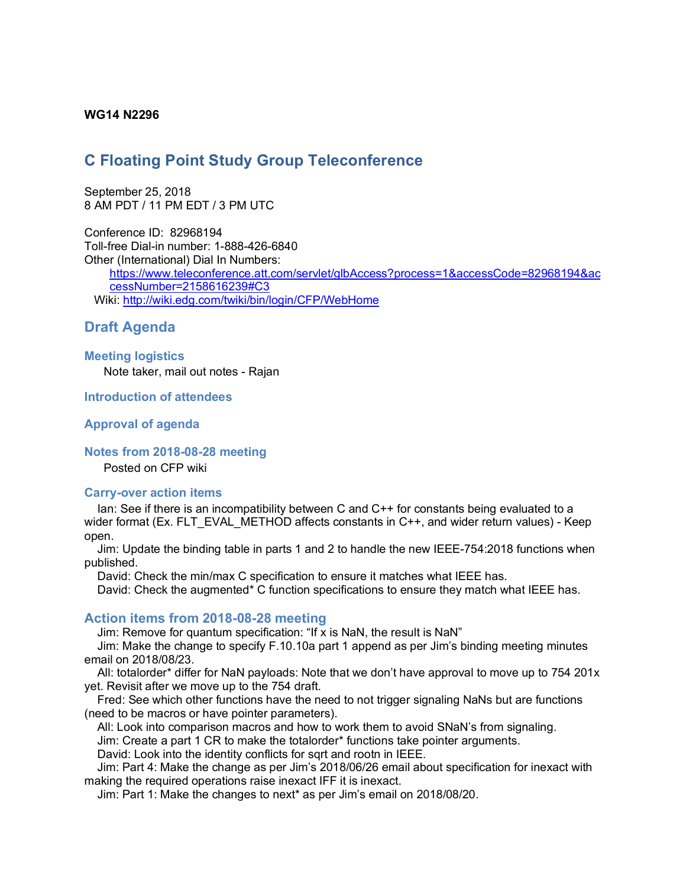## **WG14 N2296**

# **C Floating Point Study Group Teleconference**

September 25, 2018 8 AM PDT / 11 PM EDT / 3 PM UTC

Conference ID: 82968194 Toll-free Dial-in number: 1-888-426-6840 Other (International) Dial In Numbers:

https://www.teleconference.att.com/servlet/glbAccess?process=1&accessCode=82968194&ac cessNumber=2158616239#C3 Wiki: http://wiki.edg.com/twiki/bin/login/CFP/WebHome

# **Draft Agenda**

### **Meeting logistics**

Note taker, mail out notes - Rajan

### **Introduction of attendees**

### **Approval of agenda**

#### **Notes from 2018-08-28 meeting**

Posted on CFP wiki

#### **Carry-over action items**

Ian: See if there is an incompatibility between C and C++ for constants being evaluated to a wider format (Ex. FLT EVAL METHOD affects constants in C++, and wider return values) - Keep open.

Jim: Update the binding table in parts 1 and 2 to handle the new IEEE-754:2018 functions when published.

David: Check the min/max C specification to ensure it matches what IEEE has.

David: Check the augmented\* C function specifications to ensure they match what IEEE has.

# **Action items from 2018-08-28 meeting**

Jim: Remove for quantum specification: "If x is NaN, the result is NaN"

Jim: Make the change to specify F.10.10a part 1 append as per Jim's binding meeting minutes email on 2018/08/23.

All: totalorder\* differ for NaN payloads: Note that we don't have approval to move up to 754 201x yet. Revisit after we move up to the 754 draft.

Fred: See which other functions have the need to not trigger signaling NaNs but are functions (need to be macros or have pointer parameters).

All: Look into comparison macros and how to work them to avoid SNaN's from signaling. Jim: Create a part 1 CR to make the totalorder\* functions take pointer arguments. David: Look into the identity conflicts for sqrt and rootn in IEEE.

Jim: Part 4: Make the change as per Jim's 2018/06/26 email about specification for inexact with making the required operations raise inexact IFF it is inexact.

Jim: Part 1: Make the changes to next\* as per Jim's email on 2018/08/20.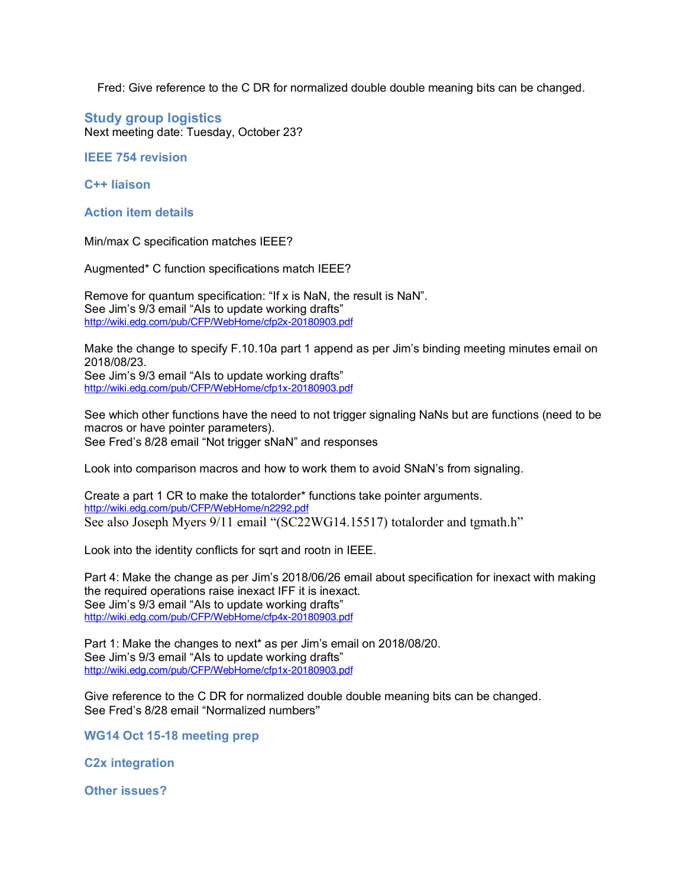Fred: Give reference to the C DR for normalized double double meaning bits can be changed.

# **Study group logistics**

Next meeting date: Tuesday, October 23?

## **IEEE 754 revision**

**C++ liaison**

## **Action item details**

Min/max C specification matches IEEE?

Augmented\* C function specifications match IEEE?

Remove for quantum specification: "If x is NaN, the result is NaN". See Jim's 9/3 email "AIs to update working drafts" http://wiki.edg.com/pub/CFP/WebHome/cfp2x-20180903.pdf

Make the change to specify F.10.10a part 1 append as per Jim's binding meeting minutes email on 2018/08/23.

See Jim's 9/3 email "AIs to update working drafts" http://wiki.edg.com/pub/CFP/WebHome/cfp1x-20180903.pdf

See which other functions have the need to not trigger signaling NaNs but are functions (need to be macros or have pointer parameters). See Fred's 8/28 email "Not trigger sNaN" and responses

Look into comparison macros and how to work them to avoid SNaN's from signaling.

Create a part 1 CR to make the totalorder\* functions take pointer arguments. http://wiki.edg.com/pub/CFP/WebHome/n2292.pdf See also Joseph Myers 9/11 email "(SC22WG14.15517) totalorder and tgmath.h"

Look into the identity conflicts for sqrt and rootn in IEEE.

Part 4: Make the change as per Jim's 2018/06/26 email about specification for inexact with making the required operations raise inexact IFF it is inexact. See Jim's 9/3 email "AIs to update working drafts" http://wiki.edg.com/pub/CFP/WebHome/cfp4x-20180903.pdf

Part 1: Make the changes to next\* as per Jim's email on 2018/08/20. See Jim's 9/3 email "AIs to update working drafts" http://wiki.edg.com/pub/CFP/WebHome/cfp1x-20180903.pdf

Give reference to the C DR for normalized double double meaning bits can be changed. See Fred's 8/28 email "Normalized numbers"

**WG14 Oct 15-18 meeting prep**

**C2x integration**

**Other issues?**